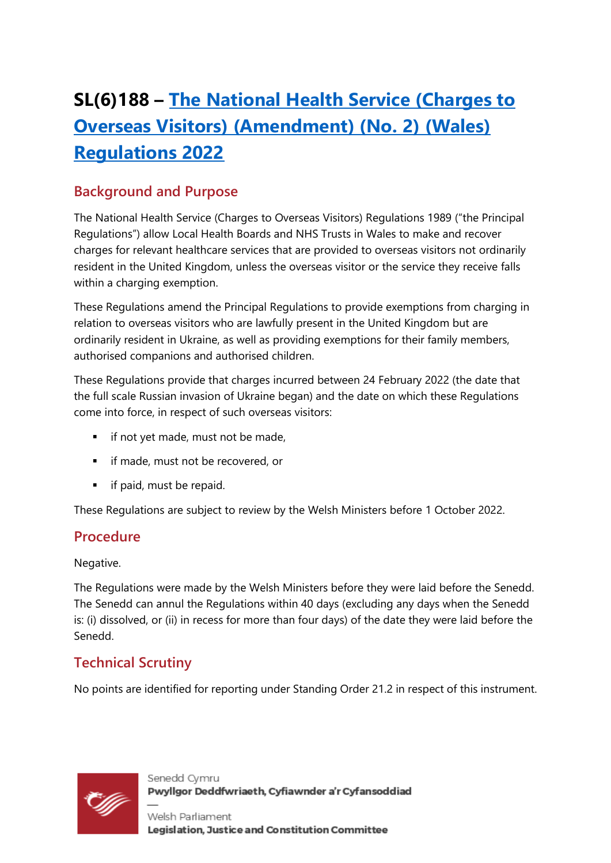# **SL(6)188 – [The National Health Service \(Charges to](https://business.senedd.wales/mgIssueHistoryHome.aspx?IId=39151)  [Overseas Visitors\) \(Amendment\) \(No. 2\) \(Wales\)](https://business.senedd.wales/mgIssueHistoryHome.aspx?IId=39151)  [Regulations 2022](https://business.senedd.wales/mgIssueHistoryHome.aspx?IId=39151)**

## **Background and Purpose**

The National Health Service (Charges to Overseas Visitors) Regulations 1989 ("the Principal Regulations") allow Local Health Boards and NHS Trusts in Wales to make and recover charges for relevant healthcare services that are provided to overseas visitors not ordinarily resident in the United Kingdom, unless the overseas visitor or the service they receive falls within a charging exemption.

These Regulations amend the Principal Regulations to provide exemptions from charging in relation to overseas visitors who are lawfully present in the United Kingdom but are ordinarily resident in Ukraine, as well as providing exemptions for their family members, authorised companions and authorised children.

These Regulations provide that charges incurred between 24 February 2022 (the date that the full scale Russian invasion of Ukraine began) and the date on which these Regulations come into force, in respect of such overseas visitors:

- if not yet made, must not be made,
- if made, must not be recovered, or
- if paid, must be repaid.

These Regulations are subject to review by the Welsh Ministers before 1 October 2022.

## **Procedure**

#### Negative.

The Regulations were made by the Welsh Ministers before they were laid before the Senedd. The Senedd can annul the Regulations within 40 days (excluding any days when the Senedd is: (i) dissolved, or (ii) in recess for more than four days) of the date they were laid before the Senedd.

# **Technical Scrutiny**

No points are identified for reporting under Standing Order 21.2 in respect of this instrument.



Senedd Cymru Pwyllgor Deddfwriaeth, Cyfiawnder a'r Cyfansoddiad

Welsh Parliament Legislation, Justice and Constitution Committee